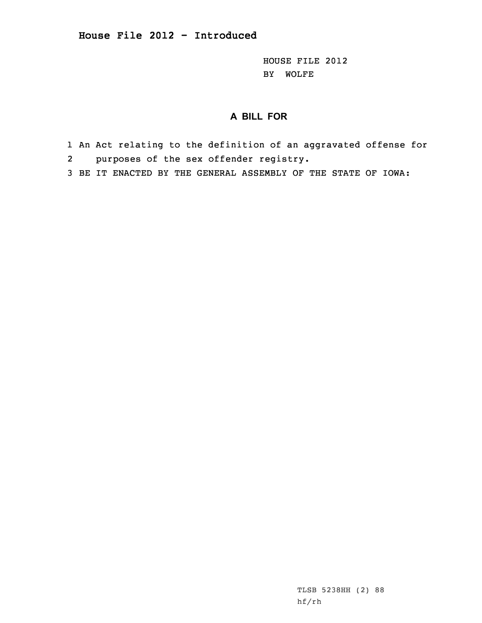HOUSE FILE 2012 BY WOLFE

## **A BILL FOR**

- 1 An Act relating to the definition of an aggravated offense for 2 purposes of the sex offender registry.
- 3 BE IT ENACTED BY THE GENERAL ASSEMBLY OF THE STATE OF IOWA:

TLSB 5238HH (2) 88 hf/rh